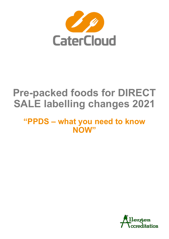

# **Pre-packed foods for DIRECT SALE labelling changes 2021**

# **"PPDS – what you need to know NOW"**

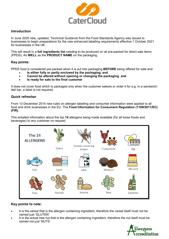

### **Introduction**

In June 2020 new, updated, Technical Guidance from the Food Standards Agency was issued to businesses to begin preparations for the new enhanced labelling requirements effective 1 October 2021 for businesses in the UK.

This will result in a **full ingredients list** needing to be produced on all pre-packed for direct sale items (PPDS). As **WELL** as the **PRODUCT NAME** on the packaging.

### **Key points:**

PPDS food is considered pre-packed when it is put into packaging **BEFORE** being offered for sale and:

- **Is either fully or partly enclosed by the packaging; and**
- **Cannot be altered without opening or changing the packaging and**
- **Is ready for sale to the final customer**

It does not cover food which is packaged only when the customer selects or order it for e.g. in a sandwich/ deli bar, a label is not required.

### **Quick refresher**

From 13 December 2014 new rules on allergen labelling and consumer information were applied to all food and drink businesses in the EU. The **Food Information for Consumers Regulation (1169/2011/EC) (FIR)**.

This entailed information about the top **14** allergens being made available (for all loose foods and beverages) to any customer on request.



### **Key points to note:**

- It is the cereal that is the allergen containing ingredient, therefore the cereal itself must not be named just 'GLUTEN'
- It is the actual tree nut that is the allergen containing ingredient, therefore the nut itself must be named not just 'NUTS'

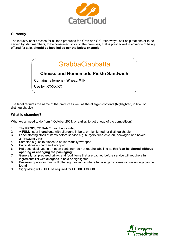

### **Currently**

The industry best practice for all food produced for 'Grab and Go', takeaways, self-help stations or to be served by staff members, to be consumed on or off the premises, that is pre-packed in advance of being offered for sale, **should be labelled as per the below example.**

# GrabbaCiabbatta

### **Cheese and Homemade Pickle Sandwich**

Contains (allergens): **Wheat, Milk**

Use by: XX/XX/XX

The label requires the name of the product as well as the allergen contents (highlighted, in bold or distinguishable).

### **What is changing?**

What we all need to do from 1 October 2021, or earlier, to get ahead of the competition!

- 1. The **PRODUCT NAME** must be invluded
- 2. A **FULL** list of ingredients with allergens in bold, or highlighted, or distinguishable
- 3. Label starting stock of items before service e.g. burgers, fried chicken, packaged and boxed anticipating a rush
- 4. Samples e.g. cake pieces to be individually wrapped
- 5. Pizza slices on card and wrapped
- 6. Hot dogs displayed in an open container, do not require labelling as this **'can be altered without opening or changing the packaging'**
- 7. Generally, all prepared drinks and food items that are packed before service will require a full ingredients list with allergens in bold or highlighted
- 8. Business operators must still offer signposting to where full allergen information (in writing) can be found
- 9. Signposting will **STILL** be required for **LOOSE FOODS**

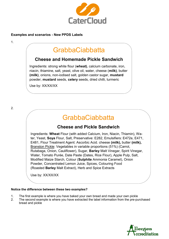

### **Examples and scenarios - New PPDS Labels**

#### 1.

### GrabbaCiabbatta

### **Cheese and Homemade Pickle Sandwich**

Ingredients: strong white flour (**wheat)**, calcium carbonate, iron, niacin, thiamine, salt, yeast, olive oil, water, cheese (**milk)**, butter **(milk)**, onions, non-iodised salt, golden castor sugar, **mustard**  powder, **mustard** seeds, **celery** seeds, dried chilli, turmeric

Use by: XX/XX/XX

## **GrabbaCiabbatta**

### **Cheese and Pickle Sandwich**

Ingredients: **Wheat** Flour (with added Calcium, Iron, Niacin, Thiamin), Water, Yeast, **Soya** Flour, Salt, Preservative: E282, Emulsifiers: E472e, E471, E481, Flour Treatment Agent: Ascorbic Acid. cheese **(milk),** butter **(milk),**  Branston Pickle: Vegetables in variable proportions (51%) (Carrot, Rutabaga, Onion, Cauliflower), Sugar, **Barley** Malt Vinegar, Spirit Vinegar, Water, Tomato Purée, Date Paste (Dates, Rice Flour), Apple Pulp, Salt, Modified Maize Starch, Colour (**Sulphite** Ammonia Caramel), Onion Powder, Concentrated Lemon Juice, Spices, Colouring Food (Roasted **Barley** Malt Extract), Herb and Spice Extracts

Use by: XX/XX/XX

### **Notice the difference between these two examples?**

- 1. The first example is where you have baked your own bread and made your own pickle
- 2. The second example is where you have extracted the label information from the pre-purchased bread and pickle

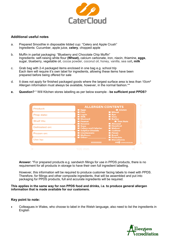

### **Additional useful notes**

- a. Prepared Smoothie in disposable lidded cup: "Celery and Apple Crush" Ingredients: Cucumber, apple juice, **celery**, chopped apple
- b. Muffin in partial packaging: "Blueberry and Chocolate Chip Muffin" Ingredients: self-raising white flour **(Wheat),** calcium carbonate, iron, niacin, thiamine, **eggs**, sugar, blueberry, vegetable oil, cocoa powder, coconut oil, honey, vanilla, sea salt**, milk**
- c. Grab bag with 2-4 packaged items enclosed in one bag e.g. school trip Each item will require it's own label for ingredients, allowing these items have been prepared before being offered for sale
- d. It does not apply for finished packaged goods where the largest surface area is less than 10cm<sup>2</sup> Allergen information must always be available, however, in the normal fashion.\*\*
- **e. Question?** \* Will Kitchen stores labelling as per below example **be sufficient post PPDS?**

| Product:      | <b>ALLERGEN CONTENTS</b>                                    |                                                                 |    |
|---------------|-------------------------------------------------------------|-----------------------------------------------------------------|----|
|               | $E_{gas}$                                                   | <b>E</b> Gluten                                                 |    |
| Prep date:    | <b>E</b> Fish<br><b>Lupin</b><br>$M$ Milk                   | <b>Wheat</b><br><b>Rye</b><br><b>Oats</b>                       |    |
| Shelf life:   | <b>Mustard</b><br><b>Peanut</b><br>Sesame                   | <b>Barley</b><br><b>Tree Nuts</b><br><b>M</b> Almond            | Ë  |
| Defrosted on: | Soya <sub>s</sub><br>Celery and Celeriac                    | <b>H</b> Hazelnut<br><b>Walnut</b>                              | 50 |
| Frozen on:    | Sulphur Dioxide<br><b>El</b> Crustaceans<br><b>Molluscs</b> | <b>E</b> Cashew<br><b>Pecan</b><br><b>Brazil</b>                |    |
| Use by:       | $\blacksquare$ Other:<br><b>XXXXXXXX</b>                    | <b>Pistachio</b><br><b>Macadamia</b><br><b>NCCO</b> www.ncco.eu |    |
|               | 100 mm                                                      |                                                                 |    |

**Answer:** \*For prepared products e.g. sandwich fillings for use in PPDS products, there is no requirement for all products in storage to have their own full ingredient labelling.

However, this information will be required to produce customer facing labels to meet with PPDS. Therefore, for fillings and other composite ingredients, that will be assembled and put into packaging for PPDS products, full and accurate ingredients will be required.

**This applies in the same way for non PPDS food and drinks, i.e. to produce general allergen information that is made available for our customers.**

#### **Key point to note:**

• Colleagues in Wales, who choose to label in the Welsh language, also need to list the ingredients in **English**